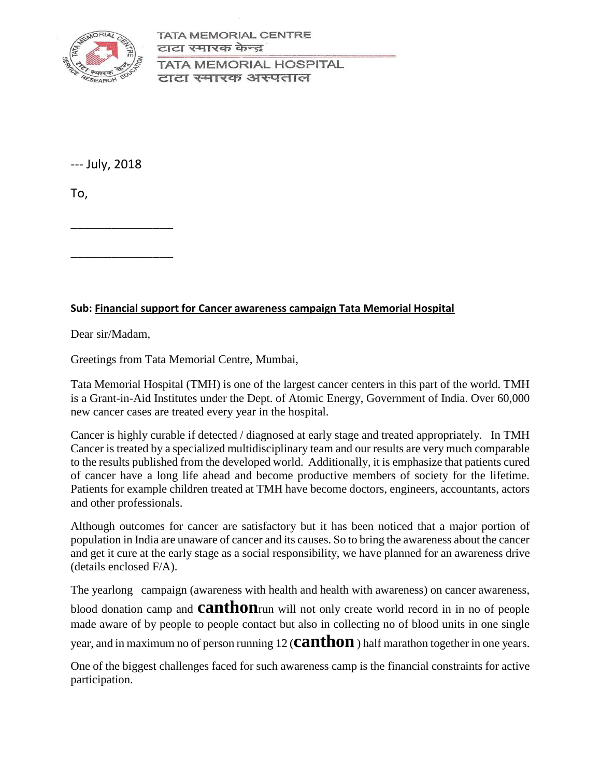

**TATA MEMORIAL CENTRE** टाटा स्मारक केन्द्र

**TATA MEMORIAL HOSPITAL** टाटा स्मारक अस्पताल

--- July, 2018

To,

\_\_\_\_\_\_\_\_\_\_\_\_\_\_\_

\_\_\_\_\_\_\_\_\_\_\_\_\_\_\_

#### **Sub: Financial support for Cancer awareness campaign Tata Memorial Hospital**

Dear sir/Madam,

Greetings from Tata Memorial Centre, Mumbai,

Tata Memorial Hospital (TMH) is one of the largest cancer centers in this part of the world. TMH is a Grant-in-Aid Institutes under the Dept. of Atomic Energy, Government of India. Over 60,000 new cancer cases are treated every year in the hospital.

Cancer is highly curable if detected / diagnosed at early stage and treated appropriately. In TMH Cancer is treated by a specialized multidisciplinary team and our results are very much comparable to the results published from the developed world. Additionally, it is emphasize that patients cured of cancer have a long life ahead and become productive members of society for the lifetime. Patients for example children treated at TMH have become doctors, engineers, accountants, actors and other professionals.

Although outcomes for cancer are satisfactory but it has been noticed that a major portion of population in India are unaware of cancer and its causes. So to bring the awareness about the cancer and get it cure at the early stage as a social responsibility, we have planned for an awareness drive (details enclosed F/A).

The yearlong campaign (awareness with health and health with awareness) on cancer awareness,

blood donation camp and **canthon**run will not only create world record in in no of people made aware of by people to people contact but also in collecting no of blood units in one single

year, and in maximum no of person running 12 (**canthon**) half marathon together in one years.

One of the biggest challenges faced for such awareness camp is the financial constraints for active participation.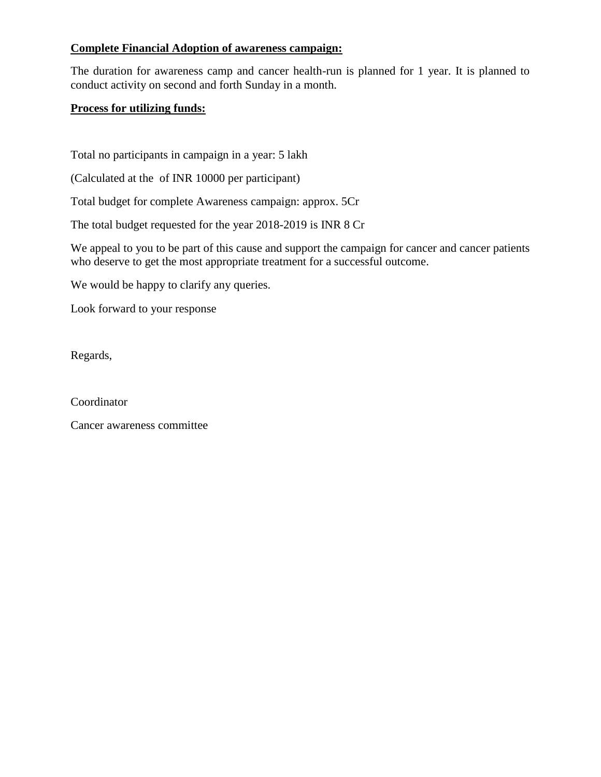#### **Complete Financial Adoption of awareness campaign:**

The duration for awareness camp and cancer health-run is planned for 1 year. It is planned to conduct activity on second and forth Sunday in a month.

#### **Process for utilizing funds:**

Total no participants in campaign in a year: 5 lakh

(Calculated at the of INR 10000 per participant)

Total budget for complete Awareness campaign: approx. 5Cr

The total budget requested for the year 2018-2019 is INR 8 Cr

We appeal to you to be part of this cause and support the campaign for cancer and cancer patients who deserve to get the most appropriate treatment for a successful outcome.

We would be happy to clarify any queries.

Look forward to your response

Regards,

**Coordinator** 

Cancer awareness committee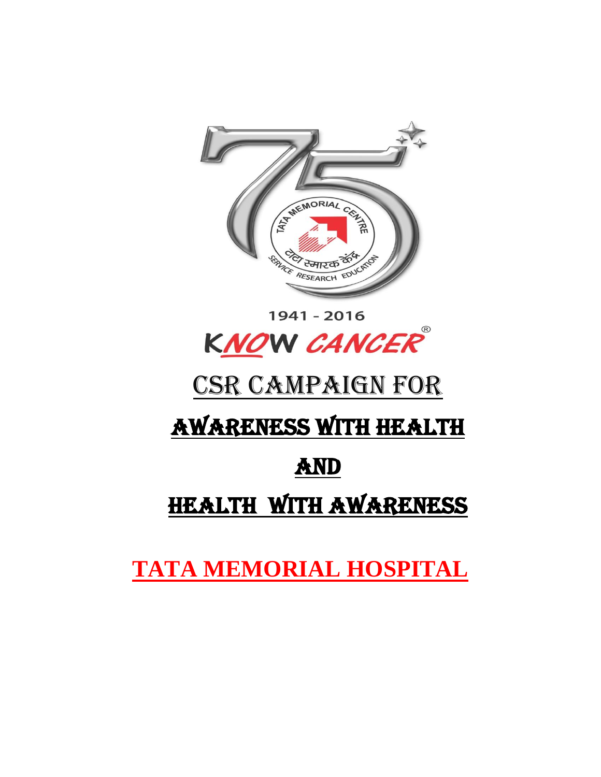

1941 - 2016 KNOW CANCER

# CSR CAMPAIGN FOR

# AWARENESS WITH HEALTH

## AND

## HEALTH WITH AWARENESS

**TATA MEMORIAL HOSPITAL**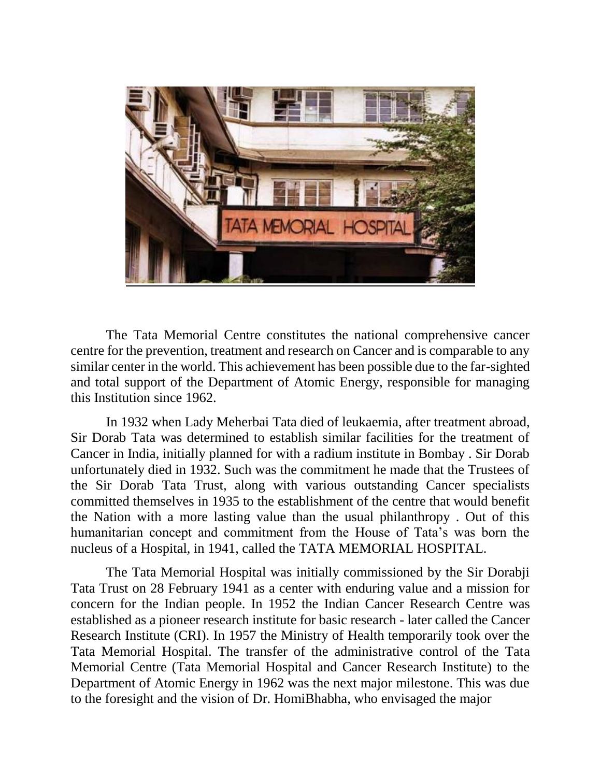

The Tata Memorial Centre constitutes the national comprehensive cancer centre for the prevention, treatment and research on Cancer and is comparable to any similar center in the world. This achievement has been possible due to the far-sighted and total support of the Department of Atomic Energy, responsible for managing this Institution since 1962.

In 1932 when Lady Meherbai Tata died of leukaemia, after treatment abroad, Sir Dorab Tata was determined to establish similar facilities for the treatment of Cancer in India, initially planned for with a radium institute in Bombay . Sir Dorab unfortunately died in 1932. Such was the commitment he made that the Trustees of the Sir Dorab Tata Trust, along with various outstanding Cancer specialists committed themselves in 1935 to the establishment of the centre that would benefit the Nation with a more lasting value than the usual philanthropy . Out of this humanitarian concept and commitment from the House of Tata's was born the nucleus of a Hospital, in 1941, called the TATA MEMORIAL HOSPITAL.

The Tata Memorial Hospital was initially commissioned by the Sir Dorabji Tata Trust on 28 February 1941 as a center with enduring value and a mission for concern for the Indian people. In 1952 the Indian Cancer Research Centre was established as a pioneer research institute for basic research - later called the Cancer Research Institute (CRI). In 1957 the Ministry of Health temporarily took over the Tata Memorial Hospital. The transfer of the administrative control of the Tata Memorial Centre (Tata Memorial Hospital and Cancer Research Institute) to the Department of Atomic Energy in 1962 was the next major milestone. This was due to the foresight and the vision of Dr. HomiBhabha, who envisaged the major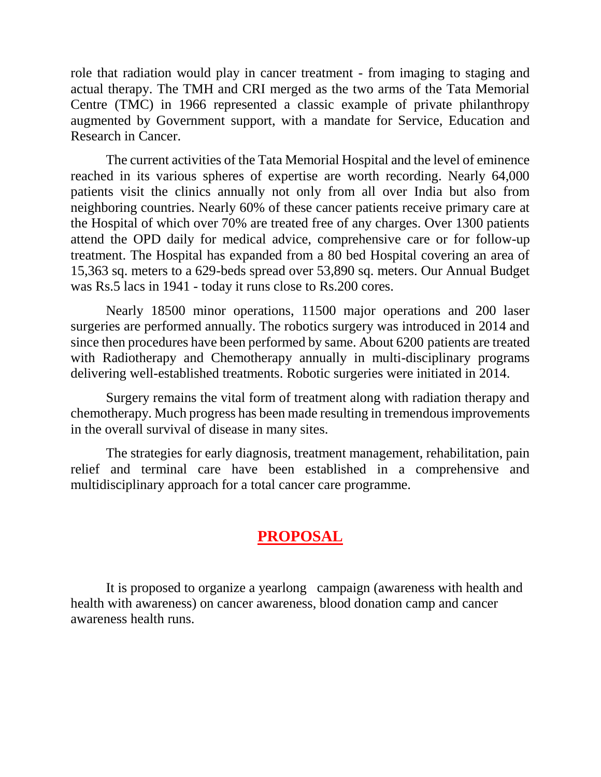role that radiation would play in cancer treatment - from imaging to staging and actual therapy. The TMH and CRI merged as the two arms of the Tata Memorial Centre (TMC) in 1966 represented a classic example of private philanthropy augmented by Government support, with a mandate for Service, Education and Research in Cancer.

The current activities of the Tata Memorial Hospital and the level of eminence reached in its various spheres of expertise are worth recording. Nearly 64,000 patients visit the clinics annually not only from all over India but also from neighboring countries. Nearly 60% of these cancer patients receive primary care at the Hospital of which over 70% are treated free of any charges. Over 1300 patients attend the OPD daily for medical advice, comprehensive care or for follow-up treatment. The Hospital has expanded from a 80 bed Hospital covering an area of 15,363 sq. meters to a 629-beds spread over 53,890 sq. meters. Our Annual Budget was Rs.5 lacs in 1941 - today it runs close to Rs.200 cores.

Nearly 18500 minor operations, 11500 major operations and 200 laser surgeries are performed annually. The robotics surgery was introduced in 2014 and since then procedures have been performed by same. About 6200 patients are treated with Radiotherapy and Chemotherapy annually in multi-disciplinary programs delivering well-established treatments. Robotic surgeries were initiated in 2014.

Surgery remains the vital form of treatment along with radiation therapy and chemotherapy. Much progress has been made resulting in tremendous improvements in the overall survival of disease in many sites.

The strategies for early diagnosis, treatment management, rehabilitation, pain relief and terminal care have been established in a comprehensive and multidisciplinary approach for a total cancer care programme.

## **PROPOSAL**

It is proposed to organize a yearlong campaign (awareness with health and health with awareness) on cancer awareness, blood donation camp and cancer awareness health runs.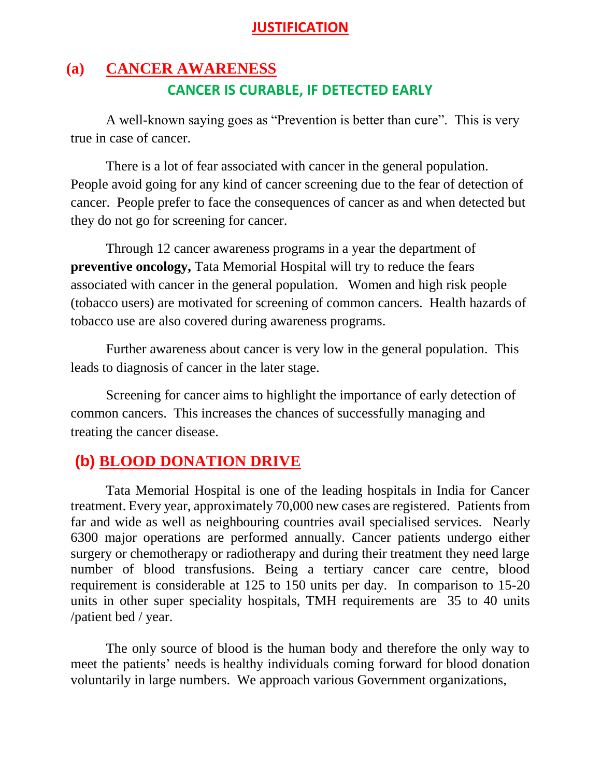#### **JUSTIFICATION**

## **(a) CANCER AWARENESS CANCER IS CURABLE, IF DETECTED EARLY**

A well-known saying goes as "Prevention is better than cure". This is very true in case of cancer.

There is a lot of fear associated with cancer in the general population. People avoid going for any kind of cancer screening due to the fear of detection of cancer. People prefer to face the consequences of cancer as and when detected but they do not go for screening for cancer.

Through 12 cancer awareness programs in a year the department of **preventive oncology,** Tata Memorial Hospital will try to reduce the fears associated with cancer in the general population. Women and high risk people (tobacco users) are motivated for screening of common cancers. Health hazards of tobacco use are also covered during awareness programs.

Further awareness about cancer is very low in the general population. This leads to diagnosis of cancer in the later stage.

Screening for cancer aims to highlight the importance of early detection of common cancers. This increases the chances of successfully managing and treating the cancer disease.

## **(b) BLOOD DONATION DRIVE**

Tata Memorial Hospital is one of the leading hospitals in India for Cancer treatment. Every year, approximately 70,000 new cases are registered. Patients from far and wide as well as neighbouring countries avail specialised services. Nearly 6300 major operations are performed annually. Cancer patients undergo either surgery or chemotherapy or radiotherapy and during their treatment they need large number of blood transfusions. Being a tertiary cancer care centre, blood requirement is considerable at 125 to 150 units per day. In comparison to 15-20 units in other super speciality hospitals, TMH requirements are 35 to 40 units /patient bed / year.

The only source of blood is the human body and therefore the only way to meet the patients' needs is healthy individuals coming forward for blood donation voluntarily in large numbers. We approach various Government organizations,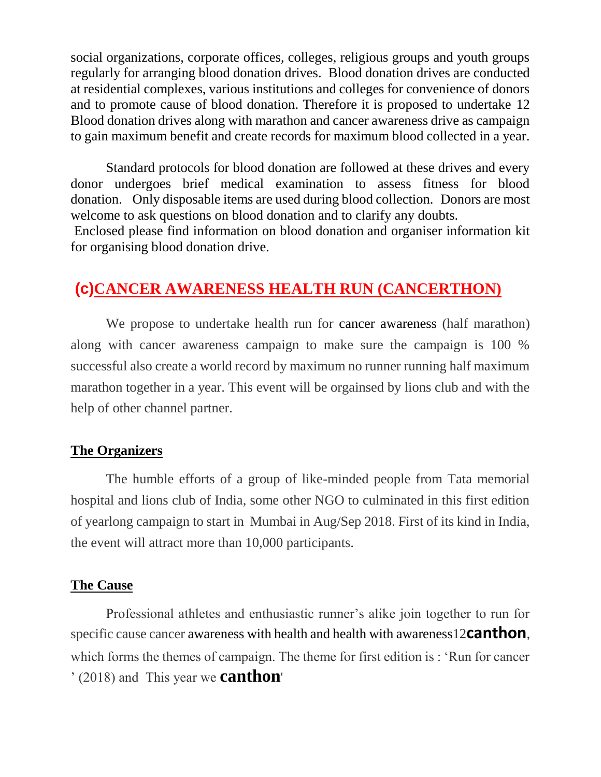social organizations, corporate offices, colleges, religious groups and youth groups regularly for arranging blood donation drives. Blood donation drives are conducted at residential complexes, various institutions and colleges for convenience of donors and to promote cause of blood donation. Therefore it is proposed to undertake 12 Blood donation drives along with marathon and cancer awareness drive as campaign to gain maximum benefit and create records for maximum blood collected in a year.

Standard protocols for blood donation are followed at these drives and every donor undergoes brief medical examination to assess fitness for blood donation. Only disposable items are used during blood collection. Donors are most welcome to ask questions on blood donation and to clarify any doubts.

Enclosed please find information on blood donation and organiser information kit for organising blood donation drive.

## **(c)CANCER AWARENESS HEALTH RUN (CANCERTHON)**

We propose to undertake health run for cancer awareness (half marathon) along with cancer awareness campaign to make sure the campaign is 100 % successful also create a world record by maximum no runner running half maximum marathon together in a year. This event will be orgainsed by lions club and with the help of other channel partner.

#### **The Organizers**

The humble efforts of a group of like-minded people from Tata memorial hospital and lions club of India, some other NGO to culminated in this first edition of yearlong campaign to start in Mumbai in Aug/Sep 2018. First of its kind in India, the event will attract more than 10,000 participants.

#### **The Cause**

Professional athletes and enthusiastic runner's alike join together to run for specific cause cancer awareness with health and health with awareness12**canthon**, which forms the themes of campaign. The theme for first edition is : 'Run for cancer ' (2018) and This year we **canthon**'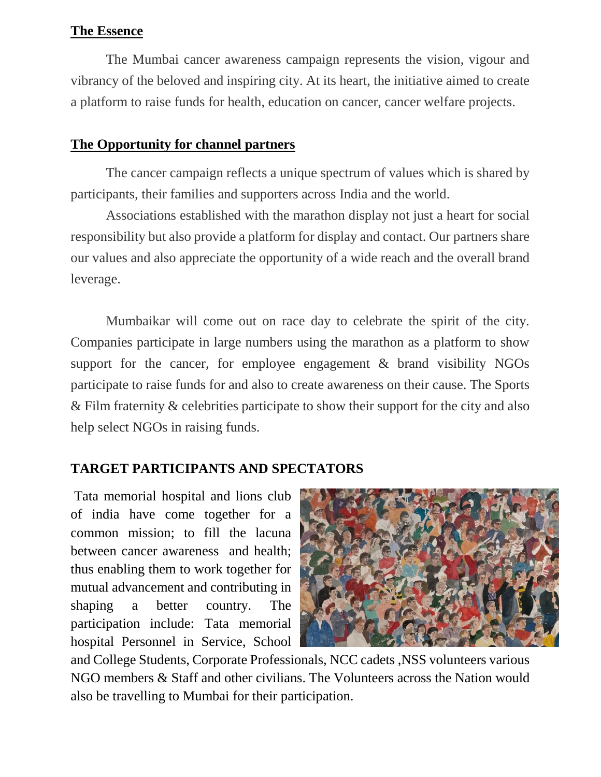#### **The Essence**

The Mumbai cancer awareness campaign represents the vision, vigour and vibrancy of the beloved and inspiring city. At its heart, the initiative aimed to create a platform to raise funds for health, education on cancer, cancer welfare projects.

#### **The Opportunity for channel partners**

The cancer campaign reflects a unique spectrum of values which is shared by participants, their families and supporters across India and the world.

Associations established with the marathon display not just a heart for social responsibility but also provide a platform for display and contact. Our partners share our values and also appreciate the opportunity of a wide reach and the overall brand leverage.

Mumbaikar will come out on race day to celebrate the spirit of the city. Companies participate in large numbers using the marathon as a platform to show support for the cancer, for employee engagement & brand visibility NGOs participate to raise funds for and also to create awareness on their cause. The Sports & Film fraternity & celebrities participate to show their support for the city and also help select NGOs in raising funds.

#### **TARGET PARTICIPANTS AND SPECTATORS**

Tata memorial hospital and lions club of india have come together for a common mission; to fill the lacuna between cancer awareness and health; thus enabling them to work together for mutual advancement and contributing in shaping a better country. The participation include: Tata memorial hospital Personnel in Service, School



and College Students, Corporate Professionals, NCC cadets ,NSS volunteers various NGO members & Staff and other civilians. The Volunteers across the Nation would also be travelling to Mumbai for their participation.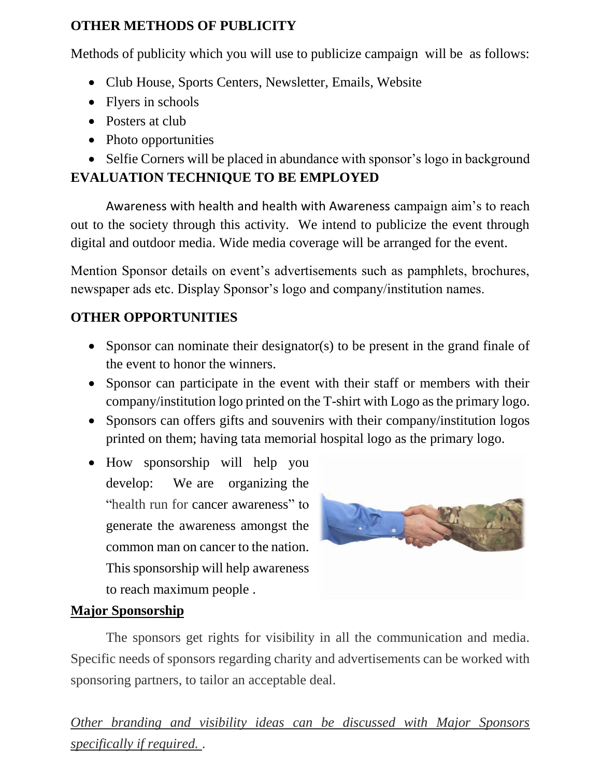### **OTHER METHODS OF PUBLICITY**

Methods of publicity which you will use to publicize campaign will be as follows:

- Club House, Sports Centers, Newsletter, Emails, Website
- Flyers in schools
- Posters at club
- Photo opportunities
- Selfie Corners will be placed in abundance with sponsor's logo in background **EVALUATION TECHNIQUE TO BE EMPLOYED**

Awareness with health and health with Awareness campaign aim's to reach out to the society through this activity. We intend to publicize the event through digital and outdoor media. Wide media coverage will be arranged for the event.

Mention Sponsor details on event's advertisements such as pamphlets, brochures, newspaper ads etc. Display Sponsor's logo and company/institution names.

## **OTHER OPPORTUNITIES**

- Sponsor can nominate their designator(s) to be present in the grand finale of the event to honor the winners.
- Sponsor can participate in the event with their staff or members with their company/institution logo printed on the T-shirt with Logo as the primary logo.
- Sponsors can offers gifts and souvenirs with their company/institution logos printed on them; having tata memorial hospital logo as the primary logo.
- How sponsorship will help you develop: We are organizing the "health run for cancer awareness" to generate the awareness amongst the common man on cancer to the nation. This sponsorship will help awareness to reach maximum people .



### **Major Sponsorship**

The sponsors get rights for visibility in all the communication and media. Specific needs of sponsors regarding charity and advertisements can be worked with sponsoring partners, to tailor an acceptable deal.

*Other branding and visibility ideas can be discussed with Major Sponsors specifically if required.* .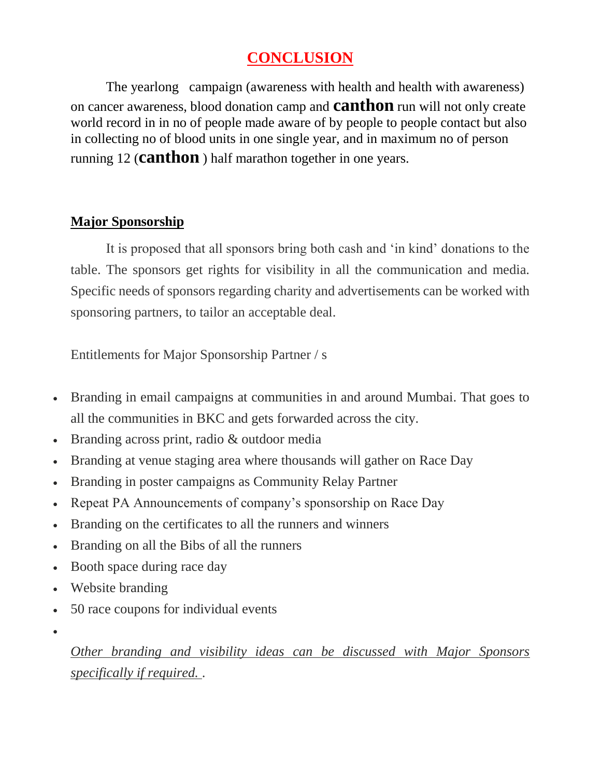## **CONCLUSION**

The yearlong campaign (awareness with health and health with awareness) on cancer awareness, blood donation camp and **canthon** run will not only create world record in in no of people made aware of by people to people contact but also in collecting no of blood units in one single year, and in maximum no of person running 12 (**canthon** ) half marathon together in one years.

#### **Major Sponsorship**

It is proposed that all sponsors bring both cash and 'in kind' donations to the table. The sponsors get rights for visibility in all the communication and media. Specific needs of sponsors regarding charity and advertisements can be worked with sponsoring partners, to tailor an acceptable deal.

Entitlements for Major Sponsorship Partner / s

- Branding in email campaigns at communities in and around Mumbai. That goes to all the communities in BKC and gets forwarded across the city.
- Branding across print, radio & outdoor media
- Branding at venue staging area where thousands will gather on Race Day
- Branding in poster campaigns as Community Relay Partner
- Repeat PA Announcements of company's sponsorship on Race Day
- Branding on the certificates to all the runners and winners
- Branding on all the Bibs of all the runners
- Booth space during race day
- Website branding
- 50 race coupons for individual events
- $\bullet$

*Other branding and visibility ideas can be discussed with Major Sponsors specifically if required.* .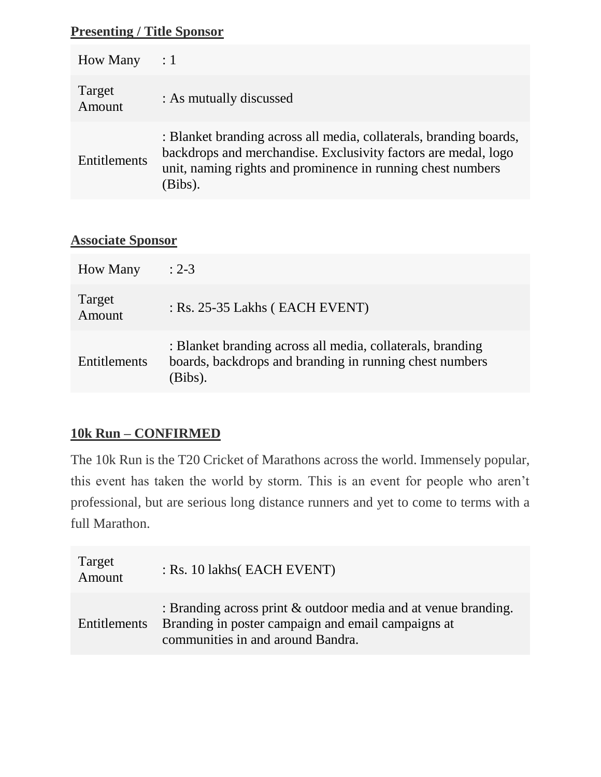#### **Presenting / Title Sponsor**

| <b>How Many</b>  | $\therefore$ 1                                                                                                                                                                                                 |
|------------------|----------------------------------------------------------------------------------------------------------------------------------------------------------------------------------------------------------------|
| Target<br>Amount | : As mutually discussed                                                                                                                                                                                        |
| Entitlements     | : Blanket branding across all media, collaterals, branding boards,<br>backdrops and merchandise. Exclusivity factors are medal, logo<br>unit, naming rights and prominence in running chest numbers<br>(Bibs). |

#### **Associate Sponsor**

| <b>How Many</b>     | $: 2 - 3$                                                                                                                        |
|---------------------|----------------------------------------------------------------------------------------------------------------------------------|
| Target<br>Amount    | $:$ Rs. 25-35 Lakhs (EACH EVENT)                                                                                                 |
| <b>Entitlements</b> | : Blanket branding across all media, collaterals, branding<br>boards, backdrops and branding in running chest numbers<br>(Bibs). |

### **10k Run – CONFIRMED**

The 10k Run is the T20 Cricket of Marathons across the world. Immensely popular, this event has taken the world by storm. This is an event for people who aren't professional, but are serious long distance runners and yet to come to terms with a full Marathon.

| Target<br>Amount    | : Rs. 10 lakhs (EACH EVENT)                                                                                                                                  |
|---------------------|--------------------------------------------------------------------------------------------------------------------------------------------------------------|
| <b>Entitlements</b> | : Branding across print $\&$ outdoor media and at venue branding.<br>Branding in poster campaign and email campaigns at<br>communities in and around Bandra. |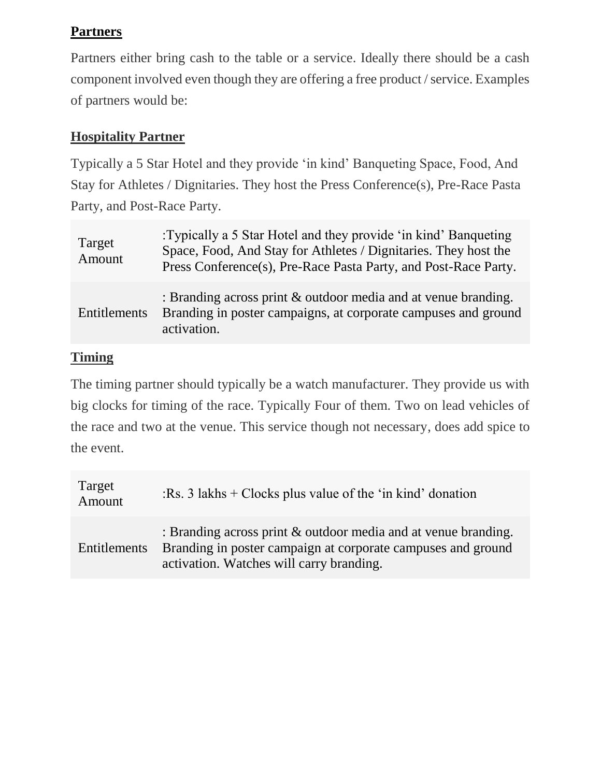## **Partners**

Partners either bring cash to the table or a service. Ideally there should be a cash component involved even though they are offering a free product / service. Examples of partners would be:

### **Hospitality Partner**

Typically a 5 Star Hotel and they provide 'in kind' Banqueting Space, Food, And Stay for Athletes / Dignitaries. They host the Press Conference(s), Pre-Race Pasta Party, and Post-Race Party.

| Target<br>Amount | :Typically a 5 Star Hotel and they provide 'in kind' Banqueting<br>Space, Food, And Stay for Athletes / Dignitaries. They host the<br>Press Conference(s), Pre-Race Pasta Party, and Post-Race Party. |
|------------------|-------------------------------------------------------------------------------------------------------------------------------------------------------------------------------------------------------|
| Entitlements     | : Branding across print $\&$ outdoor media and at venue branding.<br>Branding in poster campaigns, at corporate campuses and ground<br>activation.                                                    |

#### **Timing**

The timing partner should typically be a watch manufacturer. They provide us with big clocks for timing of the race. Typically Four of them. Two on lead vehicles of the race and two at the venue. This service though not necessary, does add spice to the event.

| Target<br>Amount    | $Rs. 3$ lakhs + Clocks plus value of the 'in kind' donation                                                                                                                   |
|---------------------|-------------------------------------------------------------------------------------------------------------------------------------------------------------------------------|
| <b>Entitlements</b> | : Branding across print $\&$ outdoor media and at venue branding.<br>Branding in poster campaign at corporate campuses and ground<br>activation. Watches will carry branding. |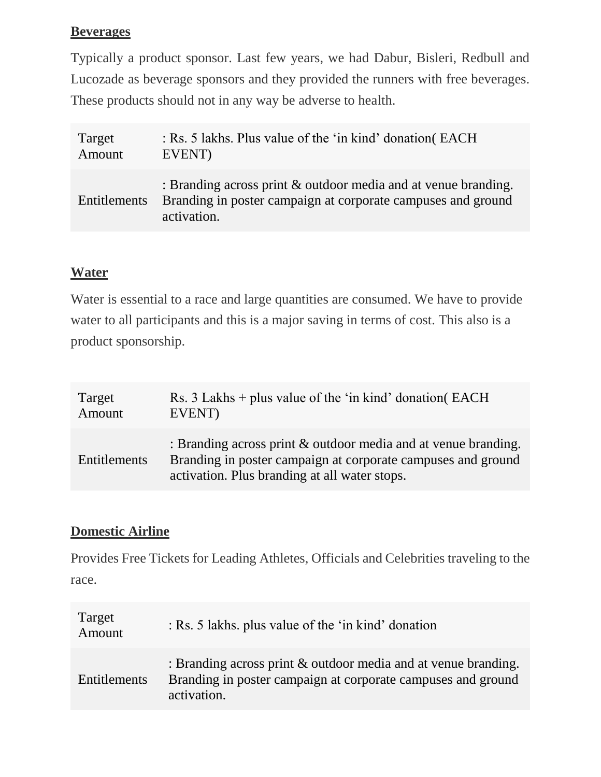### **Beverages**

Typically a product sponsor. Last few years, we had Dabur, Bisleri, Redbull and Lucozade as beverage sponsors and they provided the runners with free beverages. These products should not in any way be adverse to health.

| Target       | : Rs. 5 lakhs. Plus value of the 'in kind' donation (EACH                                                                                        |
|--------------|--------------------------------------------------------------------------------------------------------------------------------------------------|
| Amount       | EVENT)                                                                                                                                           |
| Entitlements | : Branding across print $\&$ outdoor media and at venue branding.<br>Branding in poster campaign at corporate campuses and ground<br>activation. |

#### **Water**

Water is essential to a race and large quantities are consumed. We have to provide water to all participants and this is a major saving in terms of cost. This also is a product sponsorship.

| Target       | Rs. $3$ Lakhs + plus value of the 'in kind' donation( EACH                                                                                                                         |
|--------------|------------------------------------------------------------------------------------------------------------------------------------------------------------------------------------|
| Amount       | EVENT)                                                                                                                                                                             |
| Entitlements | : Branding across print $\&$ outdoor media and at venue branding.<br>Branding in poster campaign at corporate campuses and ground<br>activation. Plus branding at all water stops. |

#### **Domestic Airline**

Provides Free Tickets for Leading Athletes, Officials and Celebrities traveling to the race.

| Target<br>Amount    | : Rs. 5 lakhs. plus value of the 'in kind' donation                                                                                              |
|---------------------|--------------------------------------------------------------------------------------------------------------------------------------------------|
| <b>Entitlements</b> | : Branding across print $\&$ outdoor media and at venue branding.<br>Branding in poster campaign at corporate campuses and ground<br>activation. |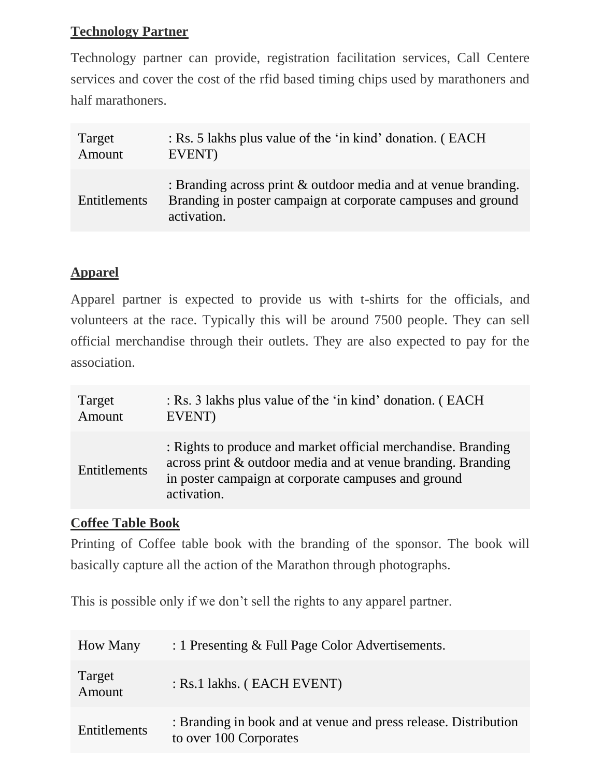### **Technology Partner**

Technology partner can provide, registration facilitation services, Call Centere services and cover the cost of the rfid based timing chips used by marathoners and half marathoners.

| Target       | : Rs. 5 lakhs plus value of the 'in kind' donation. (EACH                                                                                        |
|--------------|--------------------------------------------------------------------------------------------------------------------------------------------------|
| Amount       | EVENT)                                                                                                                                           |
| Entitlements | : Branding across print $\&$ outdoor media and at venue branding.<br>Branding in poster campaign at corporate campuses and ground<br>activation. |

#### **Apparel**

Apparel partner is expected to provide us with t-shirts for the officials, and volunteers at the race. Typically this will be around 7500 people. They can sell official merchandise through their outlets. They are also expected to pay for the association.

| Target       | : Rs. 3 lakhs plus value of the 'in kind' donation. (EACH                                                                                                                                           |
|--------------|-----------------------------------------------------------------------------------------------------------------------------------------------------------------------------------------------------|
| Amount       | EVENT)                                                                                                                                                                                              |
| Entitlements | : Rights to produce and market official merchandise. Branding<br>across print & outdoor media and at venue branding. Branding<br>in poster campaign at corporate campuses and ground<br>activation. |

#### **Coffee Table Book**

Printing of Coffee table book with the branding of the sponsor. The book will basically capture all the action of the Marathon through photographs.

This is possible only if we don't sell the rights to any apparel partner.

| <b>How Many</b>  | : 1 Presenting & Full Page Color Advertisements.                                          |
|------------------|-------------------------------------------------------------------------------------------|
| Target<br>Amount | : Rs.1 lakhs. (EACH EVENT)                                                                |
| Entitlements     | : Branding in book and at venue and press release. Distribution<br>to over 100 Corporates |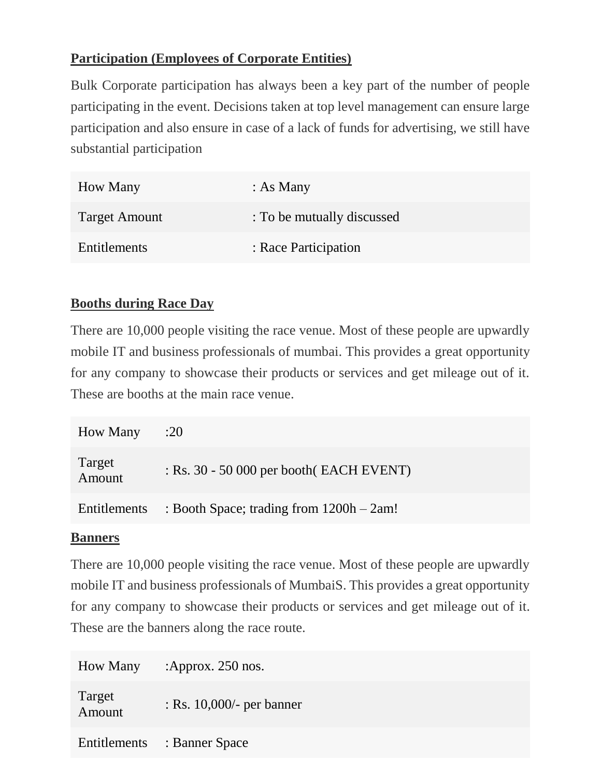#### **Participation (Employees of Corporate Entities)**

Bulk Corporate participation has always been a key part of the number of people participating in the event. Decisions taken at top level management can ensure large participation and also ensure in case of a lack of funds for advertising, we still have substantial participation

| <b>How Many</b>      | : As Many                  |
|----------------------|----------------------------|
| <b>Target Amount</b> | : To be mutually discussed |
| Entitlements         | : Race Participation       |

#### **Booths during Race Day**

There are 10,000 people visiting the race venue. Most of these people are upwardly mobile IT and business professionals of mumbai. This provides a great opportunity for any company to showcase their products or services and get mileage out of it. These are booths at the main race venue.

| <b>How Many</b>     | :20                                        |
|---------------------|--------------------------------------------|
| Target<br>Amount    | $:$ Rs. 30 - 50 000 per booth (EACH EVENT) |
| <b>Entitlements</b> | : Booth Space; trading from 1200h – 2am!   |

#### **Banners**

There are 10,000 people visiting the race venue. Most of these people are upwardly mobile IT and business professionals of MumbaiS. This provides a great opportunity for any company to showcase their products or services and get mileage out of it. These are the banners along the race route.

| <b>How Many</b>  | : Approx. $250$ nos.         |
|------------------|------------------------------|
| Target<br>Amount | : Rs. $10,000/$ - per banner |
|                  | Entitlements : Banner Space  |